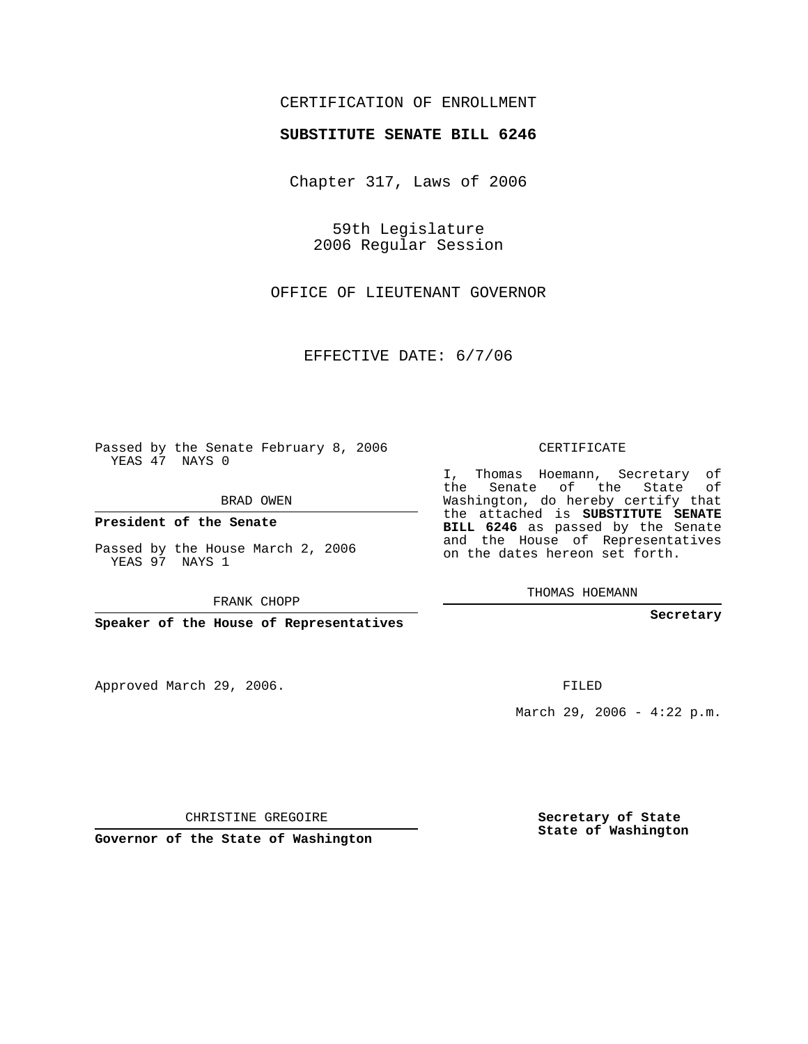## CERTIFICATION OF ENROLLMENT

## **SUBSTITUTE SENATE BILL 6246**

Chapter 317, Laws of 2006

59th Legislature 2006 Regular Session

OFFICE OF LIEUTENANT GOVERNOR

EFFECTIVE DATE: 6/7/06

Passed by the Senate February 8, 2006 YEAS 47 NAYS 0

BRAD OWEN

**President of the Senate**

Passed by the House March 2, 2006 YEAS 97 NAYS 1

FRANK CHOPP

**Speaker of the House of Representatives**

Approved March 29, 2006.

CERTIFICATE

I, Thomas Hoemann, Secretary of the Senate of the State of Washington, do hereby certify that the attached is **SUBSTITUTE SENATE BILL 6246** as passed by the Senate and the House of Representatives on the dates hereon set forth.

THOMAS HOEMANN

**Secretary**

FILED

March 29, 2006 -  $4:22$  p.m.

CHRISTINE GREGOIRE

**Governor of the State of Washington**

**Secretary of State State of Washington**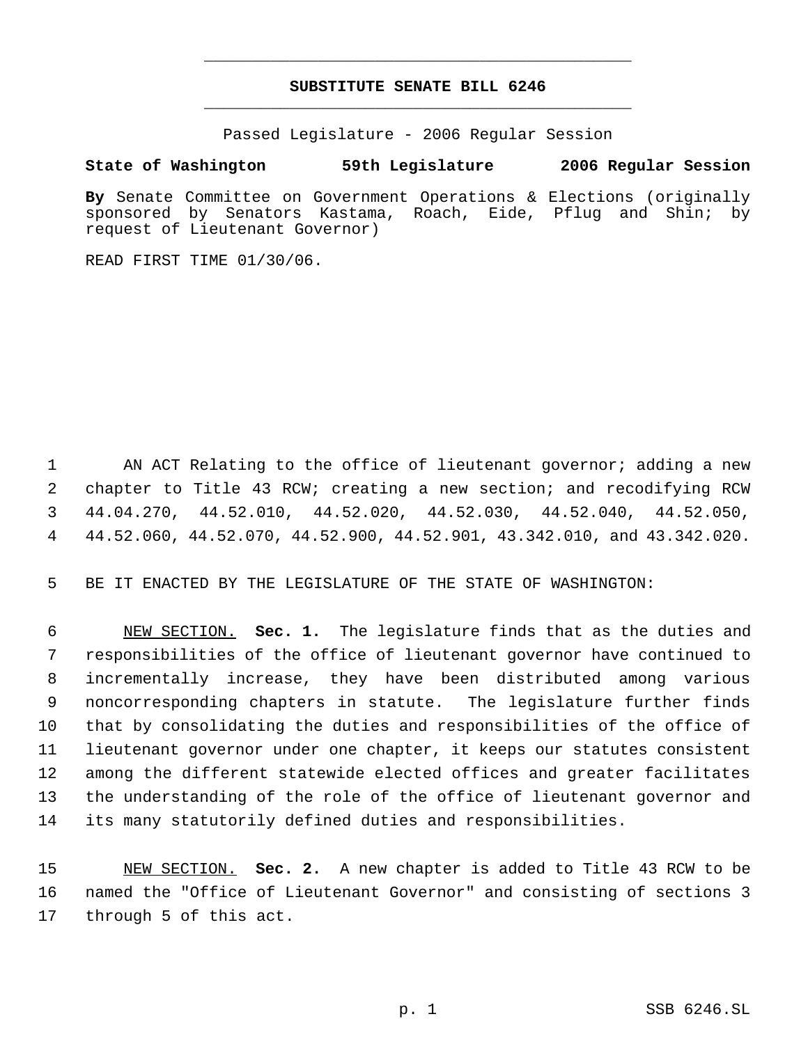## **SUBSTITUTE SENATE BILL 6246** \_\_\_\_\_\_\_\_\_\_\_\_\_\_\_\_\_\_\_\_\_\_\_\_\_\_\_\_\_\_\_\_\_\_\_\_\_\_\_\_\_\_\_\_\_

\_\_\_\_\_\_\_\_\_\_\_\_\_\_\_\_\_\_\_\_\_\_\_\_\_\_\_\_\_\_\_\_\_\_\_\_\_\_\_\_\_\_\_\_\_

Passed Legislature - 2006 Regular Session

## **State of Washington 59th Legislature 2006 Regular Session**

**By** Senate Committee on Government Operations & Elections (originally sponsored by Senators Kastama, Roach, Eide, Pflug and Shin; by request of Lieutenant Governor)

READ FIRST TIME 01/30/06.

1 AN ACT Relating to the office of lieutenant governor; adding a new chapter to Title 43 RCW; creating a new section; and recodifying RCW 44.04.270, 44.52.010, 44.52.020, 44.52.030, 44.52.040, 44.52.050, 44.52.060, 44.52.070, 44.52.900, 44.52.901, 43.342.010, and 43.342.020.

5 BE IT ENACTED BY THE LEGISLATURE OF THE STATE OF WASHINGTON:

 NEW SECTION. **Sec. 1.** The legislature finds that as the duties and responsibilities of the office of lieutenant governor have continued to incrementally increase, they have been distributed among various noncorresponding chapters in statute. The legislature further finds that by consolidating the duties and responsibilities of the office of lieutenant governor under one chapter, it keeps our statutes consistent among the different statewide elected offices and greater facilitates the understanding of the role of the office of lieutenant governor and its many statutorily defined duties and responsibilities.

15 NEW SECTION. **Sec. 2.** A new chapter is added to Title 43 RCW to be 16 named the "Office of Lieutenant Governor" and consisting of sections 3 17 through 5 of this act.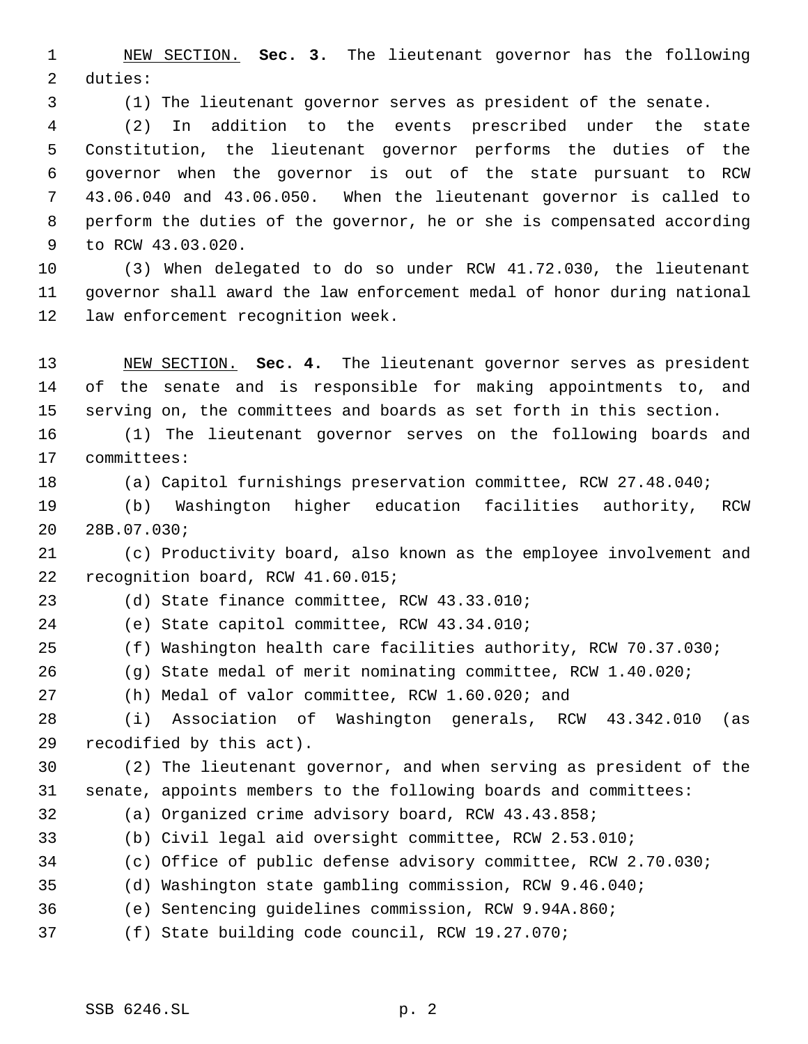NEW SECTION. **Sec. 3.** The lieutenant governor has the following duties:

(1) The lieutenant governor serves as president of the senate.

 (2) In addition to the events prescribed under the state Constitution, the lieutenant governor performs the duties of the governor when the governor is out of the state pursuant to RCW 43.06.040 and 43.06.050. When the lieutenant governor is called to perform the duties of the governor, he or she is compensated according to RCW 43.03.020.

 (3) When delegated to do so under RCW 41.72.030, the lieutenant governor shall award the law enforcement medal of honor during national law enforcement recognition week.

 NEW SECTION. **Sec. 4.** The lieutenant governor serves as president of the senate and is responsible for making appointments to, and serving on, the committees and boards as set forth in this section.

 (1) The lieutenant governor serves on the following boards and committees:

(a) Capitol furnishings preservation committee, RCW 27.48.040;

 (b) Washington higher education facilities authority, RCW 28B.07.030;

 (c) Productivity board, also known as the employee involvement and recognition board, RCW 41.60.015;

(d) State finance committee, RCW 43.33.010;

(e) State capitol committee, RCW 43.34.010;

(f) Washington health care facilities authority, RCW 70.37.030;

(g) State medal of merit nominating committee, RCW 1.40.020;

(h) Medal of valor committee, RCW 1.60.020; and

 (i) Association of Washington generals, RCW 43.342.010 (as recodified by this act).

 (2) The lieutenant governor, and when serving as president of the senate, appoints members to the following boards and committees:

- (a) Organized crime advisory board, RCW 43.43.858;
- (b) Civil legal aid oversight committee, RCW 2.53.010;
- (c) Office of public defense advisory committee, RCW 2.70.030;
- (d) Washington state gambling commission, RCW 9.46.040;
- (e) Sentencing guidelines commission, RCW 9.94A.860;
- (f) State building code council, RCW 19.27.070;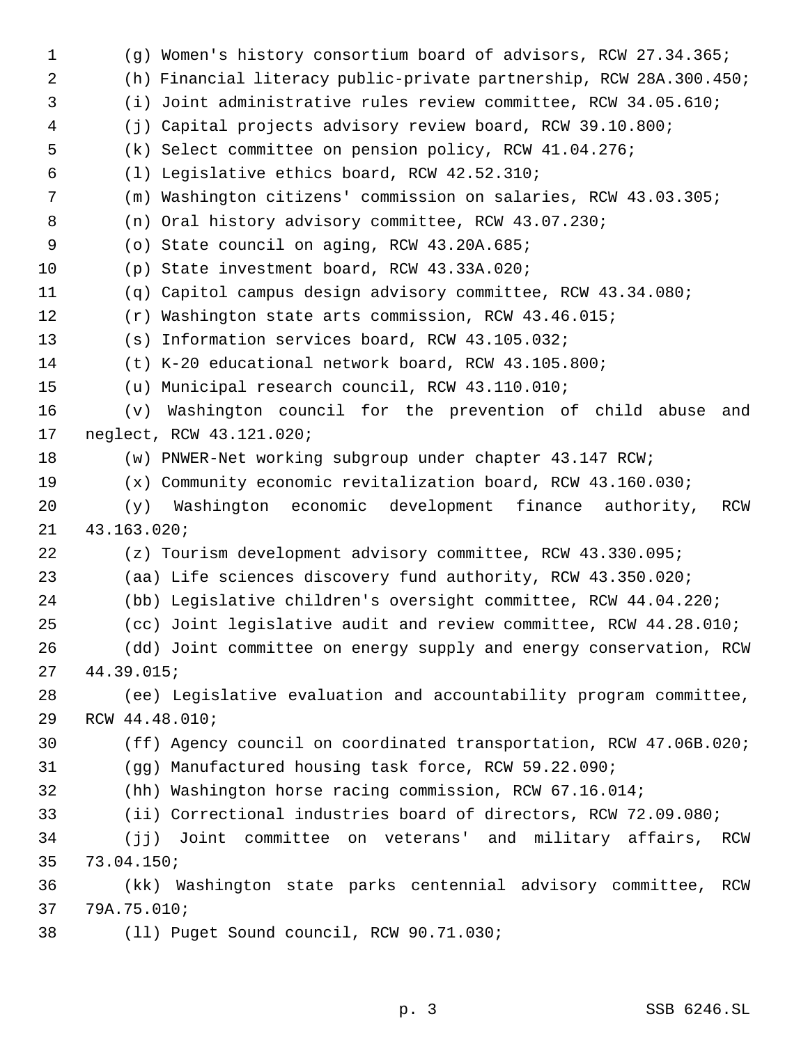(g) Women's history consortium board of advisors, RCW 27.34.365; (h) Financial literacy public-private partnership, RCW 28A.300.450; (i) Joint administrative rules review committee, RCW 34.05.610; (j) Capital projects advisory review board, RCW 39.10.800; (k) Select committee on pension policy, RCW 41.04.276; (l) Legislative ethics board, RCW 42.52.310; (m) Washington citizens' commission on salaries, RCW 43.03.305; (n) Oral history advisory committee, RCW 43.07.230; (o) State council on aging, RCW 43.20A.685; (p) State investment board, RCW 43.33A.020; (q) Capitol campus design advisory committee, RCW 43.34.080; (r) Washington state arts commission, RCW 43.46.015; (s) Information services board, RCW 43.105.032; (t) K-20 educational network board, RCW 43.105.800; (u) Municipal research council, RCW 43.110.010; (v) Washington council for the prevention of child abuse and neglect, RCW 43.121.020; (w) PNWER-Net working subgroup under chapter 43.147 RCW; (x) Community economic revitalization board, RCW 43.160.030; (y) Washington economic development finance authority, RCW 43.163.020; (z) Tourism development advisory committee, RCW 43.330.095; (aa) Life sciences discovery fund authority, RCW 43.350.020; (bb) Legislative children's oversight committee, RCW 44.04.220; (cc) Joint legislative audit and review committee, RCW 44.28.010; (dd) Joint committee on energy supply and energy conservation, RCW 44.39.015; (ee) Legislative evaluation and accountability program committee, RCW 44.48.010; (ff) Agency council on coordinated transportation, RCW 47.06B.020; (gg) Manufactured housing task force, RCW 59.22.090; (hh) Washington horse racing commission, RCW 67.16.014; (ii) Correctional industries board of directors, RCW 72.09.080; (jj) Joint committee on veterans' and military affairs, RCW 73.04.150; (kk) Washington state parks centennial advisory committee, RCW 79A.75.010; (ll) Puget Sound council, RCW 90.71.030;